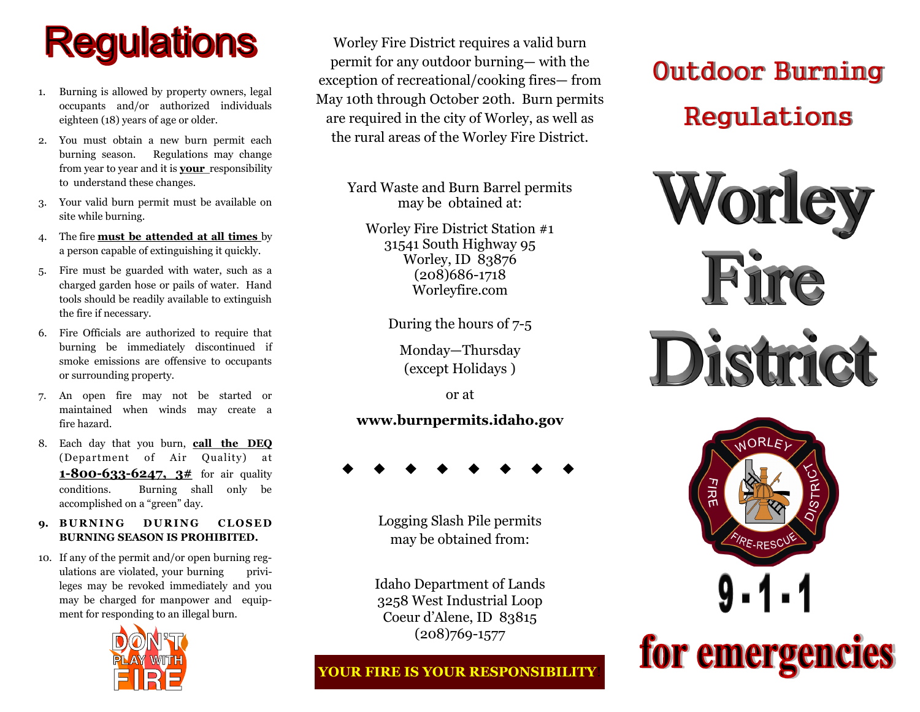# **Regulations**

- 1. Burning is allowed by property owners, legal occupants and/or authorized individuals eighteen (18) years of age or older.
- 2. You must obtain a new burn permit each burning season. Regulations may change from year to year and it is **your** responsibility to understand these changes.
- 3. Your valid burn permit must be available on site while burning.
- 4. The fire **must be attended at all times** by a person capable of extinguishing it quickly.
- Fire must be guarded with water, such as a charged garden hose or pails of water. Hand tools should be readily available to extinguish the fire if necessary.
- 6. Fire Officials are authorized to require that burning be immediately discontinued if smoke emissions are offensive to occupants or surrounding property.
- 7. An open fire may not be started or maintained when winds may create a fire hazard.
- 8. Each day that you burn, **call the DEQ**  (Department of Air Quality) at **1-800-633-6247, 3#** for air quality conditions. Burning shall only be accomplished on a "green" day.
- **9. BURNING DURING CLOSED BURNING SEASON IS PROHIBITED.**
- 10. If any of the permit and/or open burning regulations are violated, your burning privileges may be revoked immediately and you may be charged for manpower and equipment for responding to an illegal burn.



Worley Fire District requires a valid burn permit for any outdoor burning— with the exception of recreational/cooking fires— from May 10th through October 20th. Burn permits are required in the city of Worley, as well as the rural areas of the Worley Fire District.

> Yard Waste and Burn Barrel permits may be obtained at:

Worley Fire District Station #1 31541 South Highway 95 Worley, ID 83876 (208)686-1718 Worleyfire.com

During the hours of 7-5

Monday—Thursday (except Holidays )

or at

#### **www.burnpermits.idaho.gov**

Logging Slash Pile permits may be obtained from:

Idaho Department of Lands 3258 West Industrial Loop Coeur d'Alene, ID 83815 (208)769-1577

### **YOUR FIRE IS YOUR RESPONSIBILITY**!

## Outdoor Burning Regulations